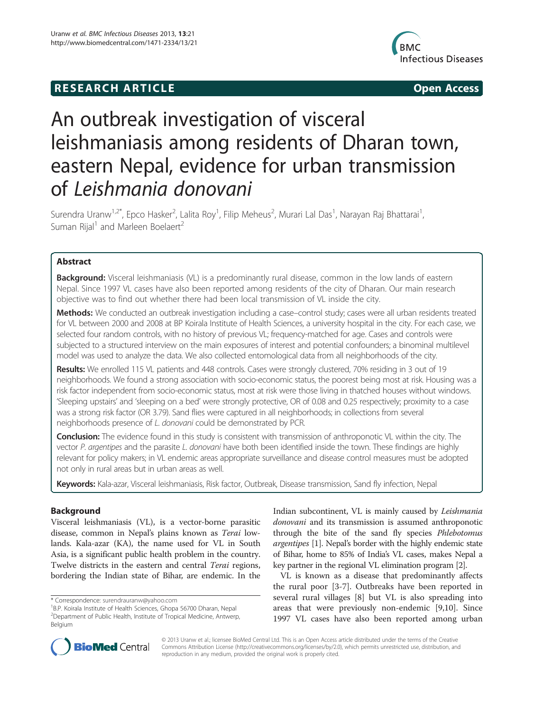## **RESEARCH ARTICLE Example 2014 12:30 The SEAR CHA RTICLE**



# An outbreak investigation of visceral leishmaniasis among residents of Dharan town, eastern Nepal, evidence for urban transmission of Leishmania donovani

Surendra Uranw<sup>1,2\*</sup>, Epco Hasker<sup>2</sup>, Lalita Roy<sup>1</sup>, Filip Meheus<sup>2</sup>, Murari Lal Das<sup>1</sup>, Narayan Raj Bhattarai<sup>1</sup> , Suman Rijal<sup>1</sup> and Marleen Boelaert<sup>2</sup>

## Abstract

Background: Visceral leishmaniasis (VL) is a predominantly rural disease, common in the low lands of eastern Nepal. Since 1997 VL cases have also been reported among residents of the city of Dharan. Our main research objective was to find out whether there had been local transmission of VL inside the city.

Methods: We conducted an outbreak investigation including a case-control study; cases were all urban residents treated for VL between 2000 and 2008 at BP Koirala Institute of Health Sciences, a university hospital in the city. For each case, we selected four random controls, with no history of previous VL; frequency-matched for age. Cases and controls were subjected to a structured interview on the main exposures of interest and potential confounders; a binominal multilevel model was used to analyze the data. We also collected entomological data from all neighborhoods of the city.

Results: We enrolled 115 VL patients and 448 controls. Cases were strongly clustered, 70% residing in 3 out of 19 neighborhoods. We found a strong association with socio-economic status, the poorest being most at risk. Housing was a risk factor independent from socio-economic status, most at risk were those living in thatched houses without windows. 'Sleeping upstairs' and 'sleeping on a bed' were strongly protective, OR of 0.08 and 0.25 respectively; proximity to a case was a strong risk factor (OR 3.79). Sand flies were captured in all neighborhoods; in collections from several neighborhoods presence of L. donovani could be demonstrated by PCR.

**Conclusion:** The evidence found in this study is consistent with transmission of anthroponotic VL within the city. The vector P. argentipes and the parasite L. donovani have both been identified inside the town. These findings are highly relevant for policy makers; in VL endemic areas appropriate surveillance and disease control measures must be adopted not only in rural areas but in urban areas as well.

Keywords: Kala-azar, Visceral leishmaniasis, Risk factor, Outbreak, Disease transmission, Sand fly infection, Nepal

## Background

Visceral leishmaniasis (VL), is a vector-borne parasitic disease, common in Nepal's plains known as Terai lowlands. Kala-azar (KA), the name used for VL in South Asia, is a significant public health problem in the country. Twelve districts in the eastern and central Terai regions, bordering the Indian state of Bihar, are endemic. In the

Indian subcontinent, VL is mainly caused by Leishmania donovani and its transmission is assumed anthroponotic through the bite of the sand fly species Phlebotomus argentipes [[1\]](#page-7-0). Nepal's border with the highly endemic state of Bihar, home to 85% of India's VL cases, makes Nepal a key partner in the regional VL elimination program [[2](#page-7-0)].

VL is known as a disease that predominantly affects the rural poor [\[3](#page-7-0)-[7\]](#page-7-0). Outbreaks have been reported in several rural villages [[8\]](#page-7-0) but VL is also spreading into areas that were previously non-endemic [[9,10\]](#page-7-0). Since 1997 VL cases have also been reported among urban



© 2013 Uranw et al.; licensee BioMed Central Ltd. This is an Open Access article distributed under the terms of the Creative Commons Attribution License [\(http://creativecommons.org/licenses/by/2.0\)](http://creativecommons.org/licenses/by/2.0), which permits unrestricted use, distribution, and reproduction in any medium, provided the original work is properly cited.

<sup>\*</sup> Correspondence: [surendrauranw@yahoo.com](mailto:surendrauranw@yahoo.com) <sup>1</sup>

<sup>&</sup>lt;sup>1</sup>B.P. Koirala Institute of Health Sciences, Ghopa 56700 Dharan, Nepal 2 Department of Public Health, Institute of Tropical Medicine, Antwerp, Belgium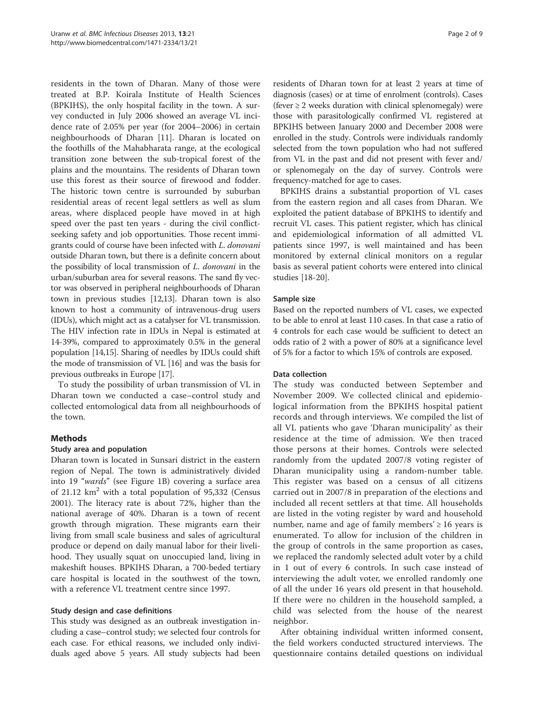residents in the town of Dharan. Many of those were treated at B.P. Koirala Institute of Health Sciences (BPKIHS), the only hospital facility in the town. A survey conducted in July 2006 showed an average VL incidence rate of 2.05% per year (for 2004–2006) in certain neighbourhoods of Dharan [\[11](#page-7-0)]. Dharan is located on the foothills of the Mahabharata range, at the ecological transition zone between the sub-tropical forest of the plains and the mountains. The residents of Dharan town use this forest as their source of firewood and fodder. The historic town centre is surrounded by suburban residential areas of recent legal settlers as well as slum areas, where displaced people have moved in at high speed over the past ten years - during the civil conflictseeking safety and job opportunities. Those recent immigrants could of course have been infected with L. donovani outside Dharan town, but there is a definite concern about the possibility of local transmission of L. donovani in the urban/suburban area for several reasons. The sand fly vector was observed in peripheral neighbourhoods of Dharan town in previous studies [[12,13](#page-7-0)]. Dharan town is also known to host a community of intravenous-drug users (IDUs), which might act as a catalyser for VL transmission. The HIV infection rate in IDUs in Nepal is estimated at 14-39%, compared to approximately 0.5% in the general population [[14](#page-7-0),[15](#page-7-0)]. Sharing of needles by IDUs could shift the mode of transmission of VL [\[16](#page-7-0)] and was the basis for previous outbreaks in Europe [[17](#page-7-0)].

To study the possibility of urban transmission of VL in Dharan town we conducted a case–control study and collected entomological data from all neighbourhoods of the town.

#### Methods

### Study area and population

Dharan town is located in Sunsari district in the eastern region of Nepal. The town is administratively divided into 19 "wards" (see Figure [1B\)](#page-2-0) covering a surface area of 21.12  $km^2$  with a total population of 95,332 (Census 2001). The literacy rate is about 72%, higher than the national average of 40%. Dharan is a town of recent growth through migration. These migrants earn their living from small scale business and sales of agricultural produce or depend on daily manual labor for their livelihood. They usually squat on unoccupied land, living in makeshift houses. BPKIHS Dharan, a 700-beded tertiary care hospital is located in the southwest of the town, with a reference VL treatment centre since 1997.

#### Study design and case definitions

This study was designed as an outbreak investigation including a case–control study; we selected four controls for each case. For ethical reasons, we included only individuals aged above 5 years. All study subjects had been

residents of Dharan town for at least 2 years at time of diagnosis (cases) or at time of enrolment (controls). Cases (fever  $\geq 2$  weeks duration with clinical splenomegaly) were those with parasitologically confirmed VL registered at BPKIHS between January 2000 and December 2008 were enrolled in the study. Controls were individuals randomly selected from the town population who had not suffered from VL in the past and did not present with fever and/ or splenomegaly on the day of survey. Controls were frequency-matched for age to cases.

BPKIHS drains a substantial proportion of VL cases from the eastern region and all cases from Dharan. We exploited the patient database of BPKIHS to identify and recruit VL cases. This patient register, which has clinical and epidemiological information of all admitted VL patients since 1997, is well maintained and has been monitored by external clinical monitors on a regular basis as several patient cohorts were entered into clinical studies [\[18-20](#page-7-0)].

#### Sample size

Based on the reported numbers of VL cases, we expected to be able to enrol at least 110 cases. In that case a ratio of 4 controls for each case would be sufficient to detect an odds ratio of 2 with a power of 80% at a significance level of 5% for a factor to which 15% of controls are exposed.

#### Data collection

The study was conducted between September and November 2009. We collected clinical and epidemiological information from the BPKIHS hospital patient records and through interviews. We compiled the list of all VL patients who gave 'Dharan municipality' as their residence at the time of admission. We then traced those persons at their homes. Controls were selected randomly from the updated 2007/8 voting register of Dharan municipality using a random-number table. This register was based on a census of all citizens carried out in 2007/8 in preparation of the elections and included all recent settlers at that time. All households are listed in the voting register by ward and household number, name and age of family members'  $\geq 16$  years is enumerated. To allow for inclusion of the children in the group of controls in the same proportion as cases, we replaced the randomly selected adult voter by a child in 1 out of every 6 controls. In such case instead of interviewing the adult voter, we enrolled randomly one of all the under 16 years old present in that household. If there were no children in the household sampled, a child was selected from the house of the nearest neighbor.

After obtaining individual written informed consent, the field workers conducted structured interviews. The questionnaire contains detailed questions on individual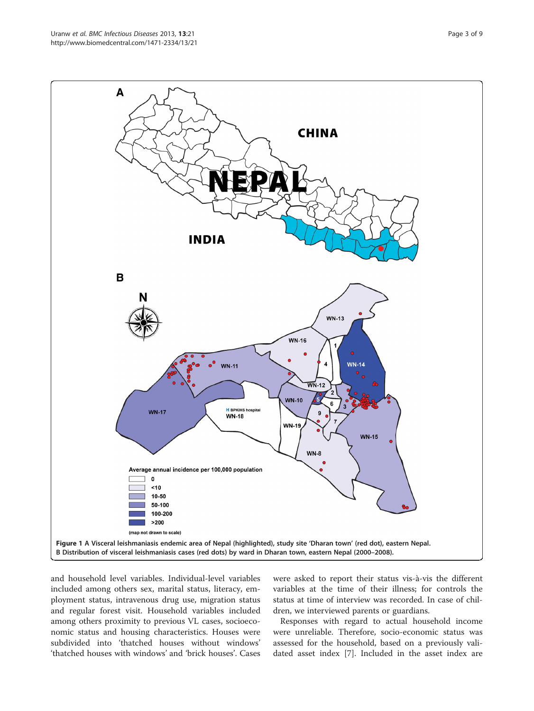<span id="page-2-0"></span>

and household level variables. Individual-level variables included among others sex, marital status, literacy, employment status, intravenous drug use, migration status and regular forest visit. Household variables included among others proximity to previous VL cases, socioeconomic status and housing characteristics. Houses were subdivided into 'thatched houses without windows' 'thatched houses with windows' and 'brick houses'. Cases were asked to report their status vis-à-vis the different variables at the time of their illness; for controls the status at time of interview was recorded. In case of children, we interviewed parents or guardians.

Responses with regard to actual household income were unreliable. Therefore, socio-economic status was assessed for the household, based on a previously validated asset index [\[7](#page-7-0)]. Included in the asset index are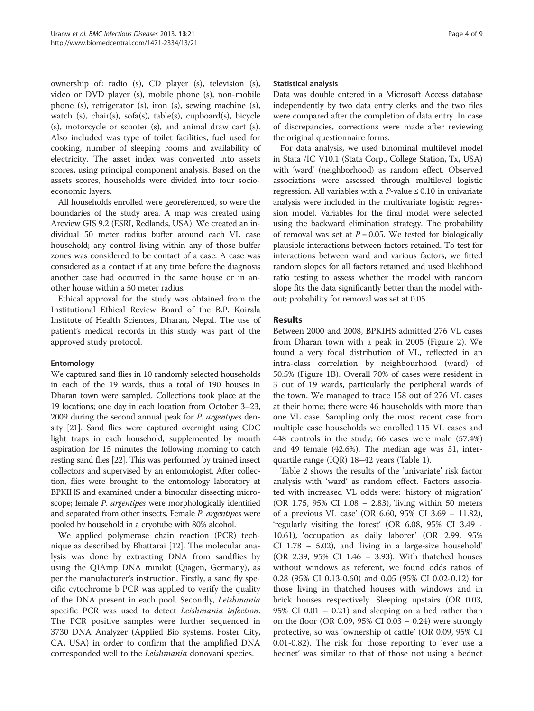ownership of: radio (s), CD player (s), television (s), video or DVD player (s), mobile phone (s), non-mobile phone (s), refrigerator (s), iron (s), sewing machine (s), watch (s), chair(s), sofa(s), table(s), cupboard(s), bicycle (s), motorcycle or scooter (s), and animal draw cart (s). Also included was type of toilet facilities, fuel used for cooking, number of sleeping rooms and availability of electricity. The asset index was converted into assets scores, using principal component analysis. Based on the assets scores, households were divided into four socioeconomic layers.

All households enrolled were georeferenced, so were the boundaries of the study area. A map was created using Arcview GIS 9.2 (ESRI, Redlands, USA). We created an individual 50 meter radius buffer around each VL case household; any control living within any of those buffer zones was considered to be contact of a case. A case was considered as a contact if at any time before the diagnosis another case had occurred in the same house or in another house within a 50 meter radius.

Ethical approval for the study was obtained from the Institutional Ethical Review Board of the B.P. Koirala Institute of Health Sciences, Dharan, Nepal. The use of patient's medical records in this study was part of the approved study protocol.

#### Entomology

We captured sand flies in 10 randomly selected households in each of the 19 wards, thus a total of 190 houses in Dharan town were sampled. Collections took place at the 19 locations; one day in each location from October 3–23, 2009 during the second annual peak for *P. argentipes* density [\[21\]](#page-7-0). Sand flies were captured overnight using CDC light traps in each household, supplemented by mouth aspiration for 15 minutes the following morning to catch resting sand flies [\[22\]](#page-7-0). This was performed by trained insect collectors and supervised by an entomologist. After collection, flies were brought to the entomology laboratory at BPKIHS and examined under a binocular dissecting microscope; female *P. argentipes* were morphologically identified and separated from other insects. Female P. argentipes were pooled by household in a cryotube with 80% alcohol.

We applied polymerase chain reaction (PCR) technique as described by Bhattarai [[12](#page-7-0)]. The molecular analysis was done by extracting DNA from sandflies by using the QIAmp DNA minikit (Qiagen, Germany), as per the manufacturer's instruction. Firstly, a sand fly specific cytochrome b PCR was applied to verify the quality of the DNA present in each pool. Secondly, Leishmania specific PCR was used to detect Leishmania infection. The PCR positive samples were further sequenced in 3730 DNA Analyzer (Applied Bio systems, Foster City, CA, USA) in order to confirm that the amplified DNA corresponded well to the Leishmania donovani species.

#### Statistical analysis

Data was double entered in a Microsoft Access database independently by two data entry clerks and the two files were compared after the completion of data entry. In case of discrepancies, corrections were made after reviewing the original questionnaire forms.

For data analysis, we used binominal multilevel model in Stata /IC V10.1 (Stata Corp., College Station, Tx, USA) with 'ward' (neighborhood) as random effect. Observed associations were assessed through multilevel logistic regression. All variables with a  $P$ -value  $\leq 0.10$  in univariate analysis were included in the multivariate logistic regression model. Variables for the final model were selected using the backward elimination strategy. The probability of removal was set at  $P = 0.05$ . We tested for biologically plausible interactions between factors retained. To test for interactions between ward and various factors, we fitted random slopes for all factors retained and used likelihood ratio testing to assess whether the model with random slope fits the data significantly better than the model without; probability for removal was set at 0.05.

#### Results

Between 2000 and 2008, BPKIHS admitted 276 VL cases from Dharan town with a peak in 2005 (Figure [2\)](#page-4-0). We found a very focal distribution of VL, reflected in an intra-class correlation by neighbourhood (ward) of 50.5% (Figure [1B\)](#page-2-0). Overall 70% of cases were resident in 3 out of 19 wards, particularly the peripheral wards of the town. We managed to trace 158 out of 276 VL cases at their home; there were 46 households with more than one VL case. Sampling only the most recent case from multiple case households we enrolled 115 VL cases and 448 controls in the study; 66 cases were male (57.4%) and 49 female (42.6%). The median age was 31, interquartile range (IQR) 18–42 years (Table [1](#page-4-0)).

Table [2](#page-5-0) shows the results of the 'univariate' risk factor analysis with 'ward' as random effect. Factors associated with increased VL odds were: 'history of migration' (OR 1.75, 95% CI 1.08 – 2.83), 'living within 50 meters of a previous VL case' (OR 6.60, 95% CI 3.69 – 11.82), 'regularly visiting the forest' (OR 6.08, 95% CI 3.49 - 10.61), 'occupation as daily laborer' (OR 2.99, 95% CI 1.78 – 5.02), and 'living in a large-size household' (OR 2.39, 95% CI 1.46 – 3.93). With thatched houses without windows as referent, we found odds ratios of 0.28 (95% CI 0.13-0.60) and 0.05 (95% CI 0.02-0.12) for those living in thatched houses with windows and in brick houses respectively. Sleeping upstairs (OR 0.03, 95% CI 0.01 – 0.21) and sleeping on a bed rather than on the floor (OR 0.09, 95% CI 0.03 – 0.24) were strongly protective, so was 'ownership of cattle' (OR 0.09, 95% CI 0.01-0.82). The risk for those reporting to 'ever use a bednet' was similar to that of those not using a bednet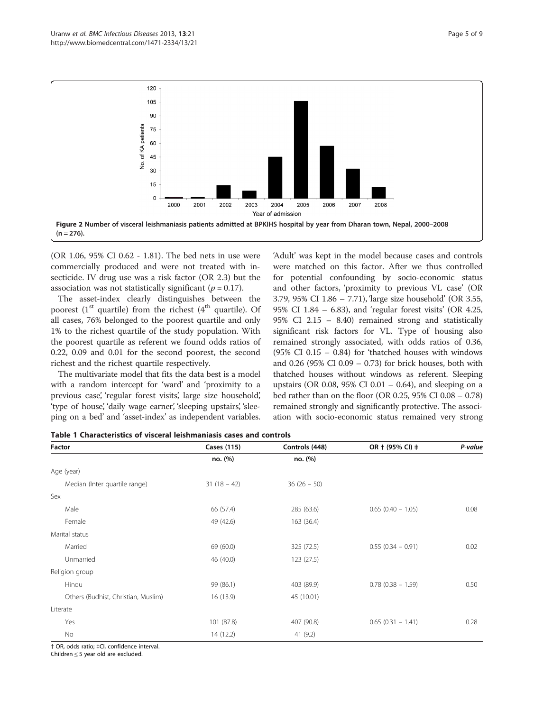<span id="page-4-0"></span>

(OR 1.06, 95% CI 0.62 - 1.81). The bed nets in use were commercially produced and were not treated with insecticide. IV drug use was a risk factor (OR 2.3) but the association was not statistically significant ( $p = 0.17$ ).

The asset-index clearly distinguishes between the poorest  $(1<sup>st</sup>$  quartile) from the richest  $(4<sup>th</sup>$  quartile). Of all cases, 76% belonged to the poorest quartile and only 1% to the richest quartile of the study population. With the poorest quartile as referent we found odds ratios of 0.22, 0.09 and 0.01 for the second poorest, the second richest and the richest quartile respectively.

The multivariate model that fits the data best is a model with a random intercept for 'ward' and 'proximity to a previous case', 'regular forest visits', large size household', 'type of house', 'daily wage earner', 'sleeping upstairs', 'sleeping on a bed' and 'asset-index' as independent variables.

'Adult' was kept in the model because cases and controls were matched on this factor. After we thus controlled for potential confounding by socio-economic status and other factors, 'proximity to previous VL case' (OR 3.79, 95% CI 1.86 – 7.71), 'large size household' (OR 3.55, 95% CI 1.84 – 6.83), and 'regular forest visits' (OR 4.25, 95% CI 2.15 – 8.40) remained strong and statistically significant risk factors for VL. Type of housing also remained strongly associated, with odds ratios of 0.36, (95% CI 0.15 – 0.84) for 'thatched houses with windows and 0.26 (95% CI 0.09 – 0.73) for brick houses, both with thatched houses without windows as referent. Sleeping upstairs (OR 0.08, 95% CI 0.01 – 0.64), and sleeping on a bed rather than on the floor (OR 0.25, 95% CI 0.08 – 0.78) remained strongly and significantly protective. The association with socio-economic status remained very strong

| Factor                              | Cases (115)   | Controls (448) | OR + (95% CI) ‡      | P-value |
|-------------------------------------|---------------|----------------|----------------------|---------|
|                                     | no. (%)       | no. (%)        |                      |         |
| Age (year)                          |               |                |                      |         |
| Median (Inter quartile range)       | $31(18 - 42)$ | $36(26 - 50)$  |                      |         |
| Sex                                 |               |                |                      |         |
| Male                                | 66 (57.4)     | 285 (63.6)     | $0.65(0.40 - 1.05)$  | 0.08    |
| Female                              | 49 (42.6)     | 163 (36.4)     |                      |         |
| Marital status                      |               |                |                      |         |
| Married                             | 69 (60.0)     | 325 (72.5)     | $0.55(0.34 - 0.91)$  | 0.02    |
| Unmarried                           | 46 (40.0)     | 123(27.5)      |                      |         |
| Religion group                      |               |                |                      |         |
| Hindu                               | 99 (86.1)     | 403 (89.9)     | $0.78$ (0.38 - 1.59) | 0.50    |
| Others (Budhist, Christian, Muslim) | 16(13.9)      | 45 (10.01)     |                      |         |
| Literate                            |               |                |                      |         |
| Yes                                 | 101 (87.8)    | 407 (90.8)     | $0.65(0.31 - 1.41)$  | 0.28    |
| <b>No</b>                           | 14(12.2)      | 41 (9.2)       |                      |         |

Table 1 Characteristics of visceral leishmaniasis cases and controls

† OR, odds ratio; ‡CI, confidence interval.

Children ≤ 5 year old are excluded.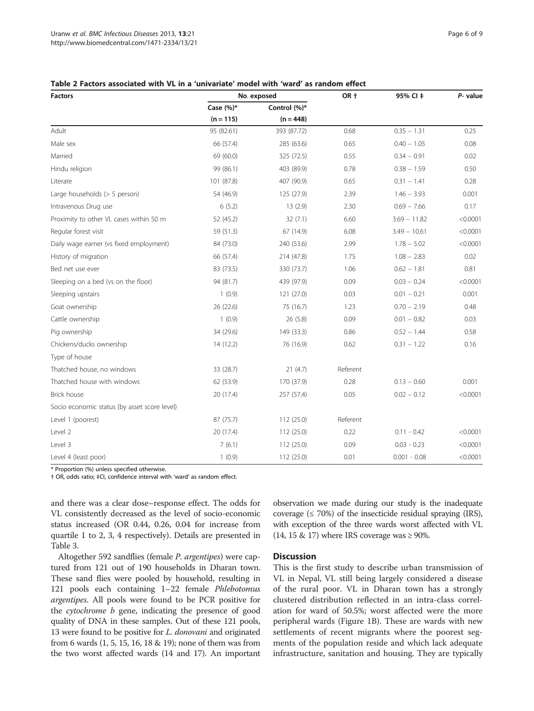<span id="page-5-0"></span>

| <b>Factors</b>                               | No. exposed                 |                             | OR +     | 95% CI ‡       | P- value |
|----------------------------------------------|-----------------------------|-----------------------------|----------|----------------|----------|
|                                              | Case $(%)^*$<br>$(n = 115)$ | Control (%)*<br>$(n = 448)$ |          |                |          |
|                                              |                             |                             |          |                |          |
| Male sex                                     | 66 (57.4)                   | 285 (63.6)                  | 0.65     | $0.40 - 1.05$  | 0.08     |
| Married                                      | 69 (60.0)                   | 325 (72.5)                  | 0.55     | $0.34 - 0.91$  | 0.02     |
| Hindu religion                               | 99 (86.1)                   | 403 (89.9)                  | 0.78     | $0.38 - 1.59$  | 0.50     |
| Literate                                     | 101 (87.8)                  | 407 (90.9)                  | 0.65     | $0.31 - 1.41$  | 0.28     |
| Large households $(> 5$ person)              | 54 (46.9)                   | 125 (27.9)                  | 2.39     | $1.46 - 3.93$  | 0.001    |
| Intravenous Drug use                         | 6(5.2)                      | 13(2.9)                     | 2.30     | $0.69 - 7.66$  | 0.17     |
| Proximity to other VL cases within 50 m      | 52 (45.2)                   | 32(7.1)                     | 6.60     | $3.69 - 11.82$ | < 0.0001 |
| Regular forest visit                         | 59 (51.3)                   | 67 (14.9)                   | 6.08     | $3.49 - 10.61$ | < 0.0001 |
| Daily wage earner (vs fixed employment)      | 84 (73.0)                   | 240 (53.6)                  | 2.99     | $1.78 - 5.02$  | < 0.0001 |
| History of migration                         | 66 (57.4)                   | 214 (47.8)                  | 1.75     | $1.08 - 2.83$  | 0.02     |
| Bed net use ever                             | 83 (73.5)                   | 330 (73.7)                  | 1.06     | $0.62 - 1.81$  | 0.81     |
| Sleeping on a bed (vs on the floor)          | 94 (81.7)                   | 439 (97.9)                  | 0.09     | $0.03 - 0.24$  | < 0.0001 |
| Sleeping upstairs                            | 1(0.9)                      | 121 (27.0)                  | 0.03     | $0.01 - 0.21$  | 0.001    |
| Goat ownership                               | 26 (22.6)                   | 75 (16.7)                   | 1.23     | $0.70 - 2.19$  | 0.48     |
| Cattle ownership                             | 1(0.9)                      | 26 (5.8)                    | 0.09     | $0.01 - 0.82$  | 0.03     |
| Pig ownership                                | 34 (29.6)                   | 149 (33.3)                  | 0.86     | $0.52 - 1.44$  | 0.58     |
| Chickens/ducks ownership                     | 14 (12.2)                   | 76 (16.9)                   | 0.62     | $0.31 - 1.22$  | 0.16     |
| Type of house                                |                             |                             |          |                |          |
| Thatched house, no windows                   | 33 (28.7)                   | 21(4.7)                     | Referent |                |          |
| Thatched house with windows                  | 62 (53.9)                   | 170 (37.9)                  | 0.28     | $0.13 - 0.60$  | 0.001    |
| Brick house                                  | 20 (17.4)                   | 257 (57.4)                  | 0.05     | $0.02 - 0.12$  | < 0.0001 |
| Socio economic status (by asset score level) |                             |                             |          |                |          |
| Level 1 (poorest)                            | 87 (75.7)                   | 112 (25.0)                  | Referent |                |          |
| Level 2                                      | 20 (17.4)                   | 112(25.0)                   | 0.22     | $0.11 - 0.42$  | < 0.0001 |
| Level 3                                      | 7(6.1)                      | 112 (25.0)                  | 0.09     | $0.03 - 0.23$  | < 0.0001 |
| Level 4 (least poor)                         | 1(0.9)                      | 112 (25.0)                  | 0.01     | $0.001 - 0.08$ | < 0.0001 |

\* Proportion (%) unless specified otherwise.

† OR, odds ratio; ‡CI, confidence interval with 'ward' as random effect.

and there was a clear dose–response effect. The odds for VL consistently decreased as the level of socio-economic status increased (OR 0.44, 0.26, 0.04 for increase from quartile 1 to 2, 3, 4 respectively). Details are presented in Table [3.](#page-6-0)

Altogether 592 sandflies (female P. argentipes) were captured from 121 out of 190 households in Dharan town. These sand flies were pooled by household, resulting in 121 pools each containing 1–22 female Phlebotomus argentipes. All pools were found to be PCR positive for the cytochrome b gene, indicating the presence of good quality of DNA in these samples. Out of these 121 pools, 13 were found to be positive for L. donovani and originated from 6 wards (1, 5, 15, 16, 18 & 19); none of them was from the two worst affected wards (14 and 17). An important observation we made during our study is the inadequate coverage  $(≤ 70%)$  of the insecticide residual spraying (IRS), with exception of the three wards worst affected with VL  $(14, 15 \& 17)$  where IRS coverage was  $\geq 90\%$ .

#### **Discussion**

This is the first study to describe urban transmission of VL in Nepal, VL still being largely considered a disease of the rural poor. VL in Dharan town has a strongly clustered distribution reflected in an intra-class correlation for ward of 50.5%; worst affected were the more peripheral wards (Figure [1B](#page-2-0)). These are wards with new settlements of recent migrants where the poorest segments of the population reside and which lack adequate infrastructure, sanitation and housing. They are typically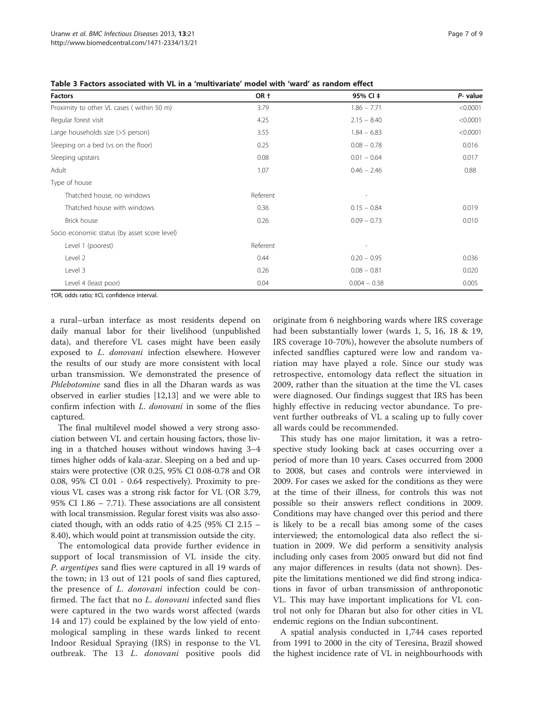<span id="page-6-0"></span>Table 3 Factors associated with VL in a 'multivariate' model with 'ward' as random effect

| <b>Factors</b>                               | OR +     | 95% CI ‡                 | P- value |
|----------------------------------------------|----------|--------------------------|----------|
| Proximity to other VL cases (within 50 m)    | 3.79     | $1.86 - 7.71$            | < 0.0001 |
| Regular forest visit                         | 4.25     | $2.15 - 8.40$            | < 0.0001 |
| Large households size (>5 person)            | 3.55     | $1.84 - 6.83$            | < 0.0001 |
| Sleeping on a bed (vs on the floor)          | 0.25     | $0.08 - 0.78$            | 0.016    |
| Sleeping upstairs                            | 0.08     | $0.01 - 0.64$            | 0.017    |
| Adult                                        | 1.07     | $0.46 - 2.46$            | 0.88     |
| Type of house                                |          |                          |          |
| Thatched house, no windows                   | Referent |                          |          |
| Thatched house with windows                  | 0.36     | $0.15 - 0.84$            | 0.019    |
| Brick house                                  | 0.26     | $0.09 - 0.73$            | 0.010    |
| Socio economic status (by asset score level) |          |                          |          |
| Level 1 (poorest)                            | Referent | $\overline{\phantom{a}}$ |          |
| Level 2                                      | 0.44     | $0.20 - 0.95$            | 0.036    |
| Level 3                                      | 0.26     | $0.08 - 0.81$            | 0.020    |
| Level 4 (least poor)                         | 0.04     | $0.004 - 0.38$           | 0.005    |

†OR, odds ratio; ‡CI, confidence interval.

a rural–urban interface as most residents depend on daily manual labor for their livelihood (unpublished data), and therefore VL cases might have been easily exposed to L. donovani infection elsewhere. However the results of our study are more consistent with local urban transmission. We demonstrated the presence of Phlebotomine sand flies in all the Dharan wards as was observed in earlier studies [[12](#page-7-0),[13](#page-7-0)] and we were able to confirm infection with L. donovani in some of the flies captured.

The final multilevel model showed a very strong association between VL and certain housing factors, those living in a thatched houses without windows having 3–4 times higher odds of kala-azar. Sleeping on a bed and upstairs were protective (OR 0.25, 95% CI 0.08-0.78 and OR 0.08, 95% CI 0.01 - 0.64 respectively). Proximity to previous VL cases was a strong risk factor for VL (OR 3.79, 95% CI 1.86 – 7.71). These associations are all consistent with local transmission. Regular forest visits was also associated though, with an odds ratio of 4.25 (95% CI 2.15 – 8.40), which would point at transmission outside the city.

The entomological data provide further evidence in support of local transmission of VL inside the city. P. argentipes sand flies were captured in all 19 wards of the town; in 13 out of 121 pools of sand flies captured, the presence of L. donovani infection could be confirmed. The fact that no L. donovani infected sand flies were captured in the two wards worst affected (wards 14 and 17) could be explained by the low yield of entomological sampling in these wards linked to recent Indoor Residual Spraying (IRS) in response to the VL outbreak. The 13 L. donovani positive pools did

originate from 6 neighboring wards where IRS coverage had been substantially lower (wards 1, 5, 16, 18 & 19, IRS coverage 10-70%), however the absolute numbers of infected sandflies captured were low and random variation may have played a role. Since our study was retrospective, entomology data reflect the situation in 2009, rather than the situation at the time the VL cases were diagnosed. Our findings suggest that IRS has been highly effective in reducing vector abundance. To prevent further outbreaks of VL a scaling up to fully cover all wards could be recommended.

This study has one major limitation, it was a retrospective study looking back at cases occurring over a period of more than 10 years. Cases occurred from 2000 to 2008, but cases and controls were interviewed in 2009. For cases we asked for the conditions as they were at the time of their illness, for controls this was not possible so their answers reflect conditions in 2009. Conditions may have changed over this period and there is likely to be a recall bias among some of the cases interviewed; the entomological data also reflect the situation in 2009. We did perform a sensitivity analysis including only cases from 2005 onward but did not find any major differences in results (data not shown). Despite the limitations mentioned we did find strong indications in favor of urban transmission of anthroponotic VL. This may have important implications for VL control not only for Dharan but also for other cities in VL endemic regions on the Indian subcontinent.

A spatial analysis conducted in 1,744 cases reported from 1991 to 2000 in the city of Teresina, Brazil showed the highest incidence rate of VL in neighbourhoods with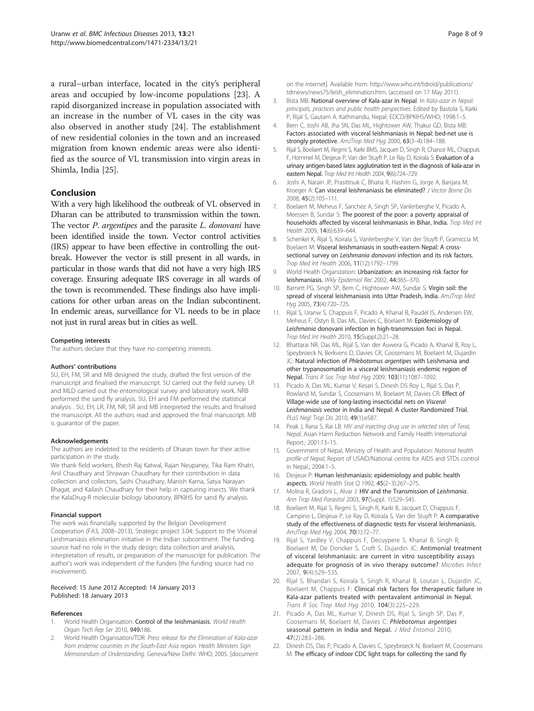<span id="page-7-0"></span>a rural–urban interface, located in the city's peripheral areas and occupied by low-income populations [\[23\]](#page-8-0). A rapid disorganized increase in population associated with an increase in the number of VL cases in the city was also observed in another study [[24](#page-8-0)]. The establishment of new residential colonies in the town and an increased migration from known endemic areas were also identified as the source of VL transmission into virgin areas in Shimla, India [[25\]](#page-8-0).

#### Conclusion

With a very high likelihood the outbreak of VL observed in Dharan can be attributed to transmission within the town. The vector *P. argentipes* and the parasite *L. donovani* have been identified inside the town. Vector control activities (IRS) appear to have been effective in controlling the outbreak. However the vector is still present in all wards, in particular in those wards that did not have a very high IRS coverage. Ensuring adequate IRS coverage in all wards of the town is recommended. These findings also have implications for other urban areas on the Indian subcontinent. In endemic areas, surveillance for VL needs to be in place not just in rural areas but in cities as well.

#### Competing interests

The authors declare that they have no competing interests.

#### Authors' contributions

SU, EH, FM, SR and MB designed the study, drafted the first version of the manuscript and finalised the manuscript. SU carried out the field survey. LR and MLD carried out the entomological survey and laboratory work. NRB performed the sand fly analysis. SU, EH and FM performed the statistical analysis . SU, EH, LR, FM, NR, SR and MB interpreted the results and finalised the manuscript. All the authors read and approved the final manuscript. MB is guarantor of the paper.

#### Acknowledgements

The authors are indebted to the residents of Dharan town for their active participation in the study.

We thank field workers, Bhesh Raj Katwal, Rajan Neupaney, Tika Ram Khatri, Anil Chaudhary and Shrawan Chaudhary for their contribution in data collection and collectors, Sashi Chaudhary, Manish Karna, Satya Narayan Bhagat, and Kailash Chaudhary for their help in capturing insects. We thank the KalaDrug-R molecular biology laboratory, BPKIHS for sand fly analysis.

#### Financial support

The work was financially supported by the Belgian Development Cooperation (FA3, 2008–2013), Strategic project 3.04: Support to the Visceral Leishmaniasis elimination initiative in the Indian subcontinent. The funding source had no role in the study design; data collection and analysis, interpretation of results, or preparation of the manuscript for publication. The author's work was independent of the funders (the funding source had no involvement).

#### Received: 15 June 2012 Accepted: 14 January 2013 Published: 18 January 2013

#### References

- World Health Organisation: Control of the leishmaniasis. World Health Organ Tech Rep Ser 2010, 949:186.
- 2. World Health Organisation/TDR: Press release for the Elimination of Kala-azar from endemic countries in the South-East Asia region. Health Ministers Sign Memorandum of Understanding. Geneva/New Delhi: WHO; 2005. [document

on the internet]. Available from: [http://www.who.int/tdrold/publications/](http://www.who.int/tdrold/publications/tdrnews/news75/leish_elimination.htm) [tdrnews/news75/leish\\_elimination.htm](http://www.who.int/tdrold/publications/tdrnews/news75/leish_elimination.htm). (accessed on 17 May 2011).

- 3. Bista MB: National overview of Kala-azar in Nepal. In Kala-azar in Nepal: principals, practices and public health perspectives. Edited by Bastola S, Karki P, Rijal S, Gautam A. Kathmandu, Nepal: EDCD/BPKIHS/WHO; 1998:1–5.
- 4. Bern C, Joshi AB, Jha SN, Das ML, Hightower AW, Thakur GD, Bista MB: Factors associated with visceral leishmaniasis in Nepal: bed-net use is strongly protective. AmJTrop Med Hyg 2000, 63(3–4):184–188.
- 5. Rijal S, Boelaert M, Regmi S, Karki BMS, Jacquet D, Singh R, Chance ML, Chappuis F, Hommel M, Desjeux P, Van der Stuyft P, Le Ray D, Koirala S: Evaluation of a urinary antigen-based latex agglutination test in the diagnosis of kala-azar in eastern Nepal. Trop Med Int Health 2004, 9(6):724–729.
- 6. Joshi A, Narain JP, Prasittisuk C, Bhatia R, Hashim G, Jorge A, Banjara M, Kroeger A: Can visceral leishmaniasis be eliminated? J Vector Borne Dis 2008, 45(2):105–111.
- 7. Boelaert M, Meheus F, Sanchez A, Singh SP, Vanlerberghe V, Picado A, Meessen B, Sundar S: The poorest of the poor: a poverty appraisal of households affected by visceral leishmaniasis in Bihar, India. Trop Med Int Health 2009, 14(6):639–644.
- Schenkel K, Rijal S, Koirala S, Vanlerberghe V, Van der Stuyft P, Gramiccia M, Boelaert M: Visceral leishmaniasis in south-eastern Nepal: A crosssectional survey on Leishmania donovani infection and its risk factors. Trop Med Int Health 2006, 11(12):1792–1799.
- 9. World Health Organization: Urbanization: an increasing risk factor for leishmaniasis. Wkly Epidemiol Rec 2002, 44:365–370.
- 10. Barnett PG, Singh SP, Bern C, Hightower AW, Sundar S: Virgin soil: the spread of visceral leishmaniasis into Uttar Pradesh, India. AmJTrop Med Hyg 2005, 73(4):720–725.
- 11. Rijal S, Uranw S, Chappuis F, Picado A, Khanal B, Paudel IS, Andersen EW, Meheus F, Ostyn B, Das ML, Davies C, Boelaert M: Epidemiology of Leishmania donovani infection in high-transmission foci in Nepal. Trop Med Int Health 2010, 15(Suppl.2):21–28.
- 12. Bhattarai NR, Das ML, Rijal S, Van der Auwera G, Picado A, Khanal B, Roy L, Speybroeck N, Berkvens D, Davies CR, Coosemans M, Boelaert M, Dujardin JC: Natural infection of Phlebotomus argentipes with Leishmania and other trypanosomatid in a visceral leishmaniasis endemic region of Nepal. Trans R Soc Trop Med Hyg 2009, 103(11):1087–1092.
- 13. Picado A, Das ML, Kumar V, Kesari S, Dinesh DS Roy L, Rijal S, Das P, Rowland M, Sundar S, Coosemans M, Boelaert M, Davies CR: Effect of Village-wide use of long-lasting insecticidal nets on Visceral Leishmaniasis vector in India and Nepal: A cluster Randomized Trial. PLoS Negl Trop Dis 2010, 49(1):e587.
- 14. Peak J, Rana S, Rai LB: HIV and injecting drug use in selected sites of Terai, Nepal, Asian Harm Reduction Network and Family Health International Report.; 2001:13–15.
- 15. Government of Nepal, Ministry of Health and Population: National health profile of Nepal, Report of USAID/National centre for AIDS and STDs control in Nepal.; 2004:1–5.
- 16. Desjeux P: Human leishmaniasis: epidemiology and public health aspects. World Health Stat Q 1992, 45(2–3):267–275.
- 17. Molina R, Gradoni L, Alvar J: HIV and the Transmission of Leishmania. Ann Trop Med Parasitol 2003, 97(Suppl. 1):S29-S45.
- 18. Boelaert M, Rijal S, Regmi S, Singh R, Karki B, Jacquet D, Chappuis F, Campino L, Desjeux P, Le Ray D, Koirala S, Van der Stuyft P: A comparative study of the effectiveness of diagnostic tests for visceral leishmaniasis. AmJTrop Med Hyg 2004, 70(1):72–77.
- 19. Rijal S, Yardley V, Chappuis F, Decuypere S, Khanal B, Singh R, Boelaert M, De Doncker S, Croft S, Dujardin JC: Antimonial treatment of visceral leishmaniasis: are current in vitro susceptibility assays adequate for prognosis of in vivo therapy outcome? Microbes Infect 2007, 9(4):529–535.
- 20. Rijal S, Bhandari S, Koirala S, Singh R, Khanal B, Loutan L, Dujardin JC, Boelaert M, Chappuis F: Clinical risk factors for therapeutic failure in Kala-azar patients treated with pentavalent antimonial in Nepal. Trans R Soc Trop Med Hyg 2010, 104(3):225–229.
- 21. Picado A, Das ML, Kumar V, Dinesh DS, Rijal S, Singh SP, Das P, Coosemans M, Boelaert M, Davies C: Phlebotomus argentipes seasonal pattern in India and Nepal. J Med Entomol 2010, 47(2):283–286.
- 22. Dinesh DS, Das P, Picado A, Davies C, Speybroeck N, Boelaert M, Coosemans M: The efficacy of indoor CDC light traps for collecting the sand fly